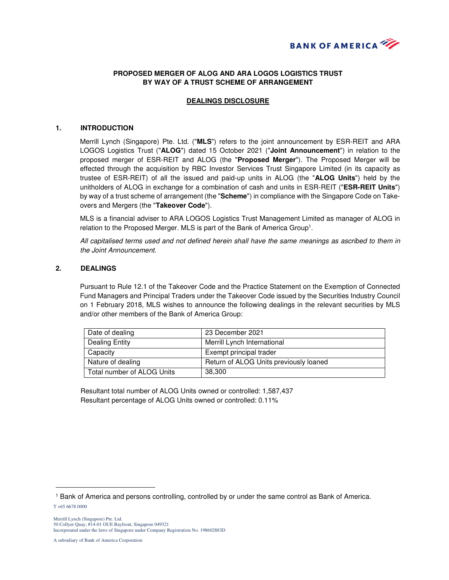

# **PROPOSED MERGER OF ALOG AND ARA LOGOS LOGISTICS TRUST BY WAY OF A TRUST SCHEME OF ARRANGEMENT**

## **DEALINGS DISCLOSURE**

#### **1. INTRODUCTION**

Merrill Lynch (Singapore) Pte. Ltd. ("**MLS**") refers to the joint announcement by ESR-REIT and ARA LOGOS Logistics Trust ("**ALOG**") dated 15 October 2021 ("**Joint Announcement**") in relation to the proposed merger of ESR-REIT and ALOG (the "**Proposed Merger**"). The Proposed Merger will be effected through the acquisition by RBC Investor Services Trust Singapore Limited (in its capacity as trustee of ESR-REIT) of all the issued and paid-up units in ALOG (the "**ALOG Units**") held by the unitholders of ALOG in exchange for a combination of cash and units in ESR-REIT ("**ESR-REIT Units**") by way of a trust scheme of arrangement (the "**Scheme**") in compliance with the Singapore Code on Takeovers and Mergers (the "**Takeover Code**").

MLS is a financial adviser to ARA LOGOS Logistics Trust Management Limited as manager of ALOG in relation to the Proposed Merger. MLS is part of the Bank of America Group<sup>1</sup>.

All capitalised terms used and not defined herein shall have the same meanings as ascribed to them in the Joint Announcement.

### **2. DEALINGS**

Pursuant to Rule 12.1 of the Takeover Code and the Practice Statement on the Exemption of Connected Fund Managers and Principal Traders under the Takeover Code issued by the Securities Industry Council on 1 February 2018, MLS wishes to announce the following dealings in the relevant securities by MLS and/or other members of the Bank of America Group:

| Date of dealing              | 23 December 2021                       |
|------------------------------|----------------------------------------|
| Dealing Entity               | Merrill Lynch International            |
| Capacity                     | Exempt principal trader                |
| Nature of dealing            | Return of ALOG Units previously loaned |
| l Total number of ALOG Units | 38,300                                 |

Resultant total number of ALOG Units owned or controlled: 1,587,437 Resultant percentage of ALOG Units owned or controlled: 0.11%

 $\overline{a}$ 

<sup>1</sup> Bank of America and persons controlling, controlled by or under the same control as Bank of America.

T +65 6678 0000